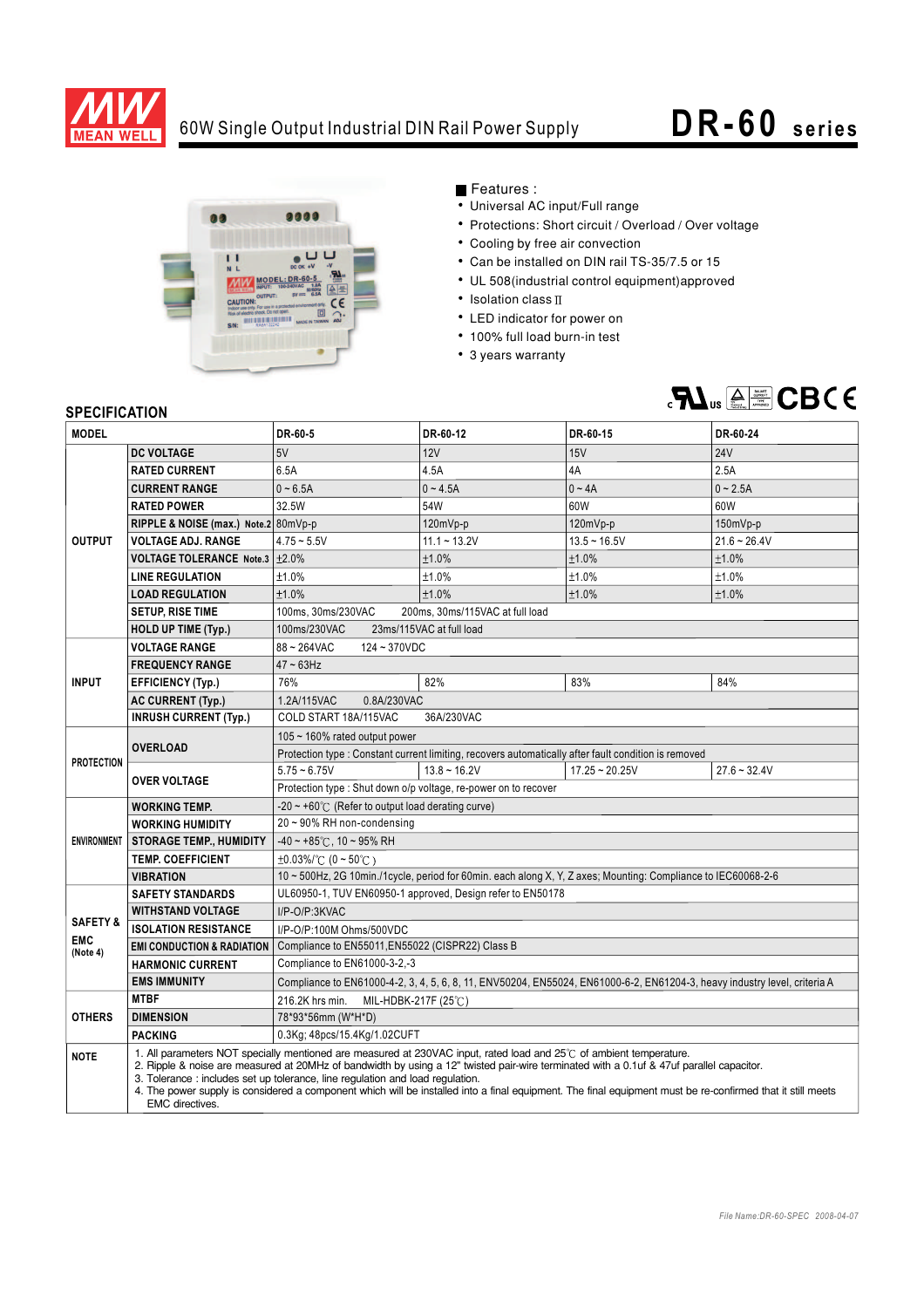

## 60W Single Output Industrial DIN Rail Power Supply **DR- 60 series**



Features :

- Universal AC input/Full range
- Protections: Short circuit / Overload / Over voltage
- Cooling by free air convection
- Can be installed on DIN rail TS-35/7.5 or 15
- UL 508(industrial control equipment)approved
- $\cdot$  Isolation class II
- LED indicator for power on
- 100% full load burn-in test
- 3 years warranty



## **SPECIFICATION**

| JE LUII IUMI IUN<br><b>MODEL</b>              |                                                                                                                                                                                                                                                                                                                                                                                                                                                                                                                                          | DR-60-5                                                                                                                   | DR-60-12       | DR-60-15         | DR-60-24       |
|-----------------------------------------------|------------------------------------------------------------------------------------------------------------------------------------------------------------------------------------------------------------------------------------------------------------------------------------------------------------------------------------------------------------------------------------------------------------------------------------------------------------------------------------------------------------------------------------------|---------------------------------------------------------------------------------------------------------------------------|----------------|------------------|----------------|
|                                               |                                                                                                                                                                                                                                                                                                                                                                                                                                                                                                                                          |                                                                                                                           |                |                  |                |
| <b>OUTPUT</b>                                 | <b>DC VOLTAGE</b>                                                                                                                                                                                                                                                                                                                                                                                                                                                                                                                        | 5V                                                                                                                        | 12V            | 15V              | <b>24V</b>     |
|                                               | <b>RATED CURRENT</b>                                                                                                                                                                                                                                                                                                                                                                                                                                                                                                                     | 6.5A                                                                                                                      | 4.5A           | 4A               | 2.5A           |
|                                               | <b>CURRENT RANGE</b>                                                                                                                                                                                                                                                                                                                                                                                                                                                                                                                     | $0 - 6.5A$                                                                                                                | $0 - 4.5A$     | $0 - 4A$         | $0 - 2.5A$     |
|                                               | <b>RATED POWER</b>                                                                                                                                                                                                                                                                                                                                                                                                                                                                                                                       | 32.5W                                                                                                                     | 54W            | 60W              | 60W            |
|                                               | RIPPLE & NOISE (max.) Note.2 80mVp-p                                                                                                                                                                                                                                                                                                                                                                                                                                                                                                     |                                                                                                                           | 120mVp-p       | 120mVp-p         | 150mVp-p       |
|                                               | <b>VOLTAGE ADJ. RANGE</b>                                                                                                                                                                                                                                                                                                                                                                                                                                                                                                                | $4.75 - 5.5V$                                                                                                             | $11.1 - 13.2V$ | $13.5 - 16.5V$   | $21.6 - 26.4V$ |
|                                               | VOLTAGE TOLERANCE Note.3 ±2.0%                                                                                                                                                                                                                                                                                                                                                                                                                                                                                                           |                                                                                                                           | ±1.0%          | ±1.0%            | ±1.0%          |
|                                               | <b>LINE REGULATION</b>                                                                                                                                                                                                                                                                                                                                                                                                                                                                                                                   | ±1.0%                                                                                                                     | ±1.0%          | $±1.0\%$         | ±1.0%          |
|                                               | <b>LOAD REGULATION</b>                                                                                                                                                                                                                                                                                                                                                                                                                                                                                                                   | ±1.0%                                                                                                                     | ±1.0%          | ±1.0%            | ±1.0%          |
|                                               | <b>SETUP, RISE TIME</b>                                                                                                                                                                                                                                                                                                                                                                                                                                                                                                                  | 100ms, 30ms/230VAC<br>200ms, 30ms/115VAC at full load                                                                     |                |                  |                |
|                                               | <b>HOLD UP TIME (Typ.)</b>                                                                                                                                                                                                                                                                                                                                                                                                                                                                                                               | 100ms/230VAC<br>23ms/115VAC at full load                                                                                  |                |                  |                |
| <b>INPUT</b>                                  | <b>VOLTAGE RANGE</b>                                                                                                                                                                                                                                                                                                                                                                                                                                                                                                                     | 88~264VAC<br>$124 - 370VDC$                                                                                               |                |                  |                |
|                                               | <b>FREQUENCY RANGE</b>                                                                                                                                                                                                                                                                                                                                                                                                                                                                                                                   | $47 \sim 63$ Hz                                                                                                           |                |                  |                |
|                                               | <b>EFFICIENCY (Typ.)</b>                                                                                                                                                                                                                                                                                                                                                                                                                                                                                                                 | 76%                                                                                                                       | 82%            | 83%              | 84%            |
|                                               | <b>AC CURRENT (Typ.)</b>                                                                                                                                                                                                                                                                                                                                                                                                                                                                                                                 | 1.2A/115VAC<br>0.8A/230VAC                                                                                                |                |                  |                |
|                                               | <b>INRUSH CURRENT (Typ.)</b>                                                                                                                                                                                                                                                                                                                                                                                                                                                                                                             | COLD START 18A/115VAC<br>36A/230VAC                                                                                       |                |                  |                |
| <b>PROTECTION</b>                             | <b>OVERLOAD</b>                                                                                                                                                                                                                                                                                                                                                                                                                                                                                                                          | 105 $\sim$ 160% rated output power                                                                                        |                |                  |                |
|                                               |                                                                                                                                                                                                                                                                                                                                                                                                                                                                                                                                          | Protection type : Constant current limiting, recovers automatically after fault condition is removed                      |                |                  |                |
|                                               | <b>OVER VOLTAGE</b>                                                                                                                                                                                                                                                                                                                                                                                                                                                                                                                      | $5.75 - 6.75V$                                                                                                            | $13.8 - 16.2V$ | $17.25 - 20.25V$ | $27.6 - 32.4V$ |
|                                               |                                                                                                                                                                                                                                                                                                                                                                                                                                                                                                                                          | Protection type : Shut down o/p voltage, re-power on to recover                                                           |                |                  |                |
| <b>ENVIRONMENT</b>                            | <b>WORKING TEMP.</b>                                                                                                                                                                                                                                                                                                                                                                                                                                                                                                                     | $-20 \sim +60^{\circ}$ (Refer to output load derating curve)                                                              |                |                  |                |
|                                               | <b>WORKING HUMIDITY</b>                                                                                                                                                                                                                                                                                                                                                                                                                                                                                                                  | $20 \sim 90\%$ RH non-condensing                                                                                          |                |                  |                |
|                                               | <b>STORAGE TEMP., HUMIDITY</b>                                                                                                                                                                                                                                                                                                                                                                                                                                                                                                           | $-40 \sim +85^{\circ}$ C, 10 ~ 95% RH                                                                                     |                |                  |                |
|                                               | <b>TEMP. COEFFICIENT</b>                                                                                                                                                                                                                                                                                                                                                                                                                                                                                                                 | $\pm 0.03\%$ (0 ~ 50°C)                                                                                                   |                |                  |                |
|                                               | <b>VIBRATION</b>                                                                                                                                                                                                                                                                                                                                                                                                                                                                                                                         | 10 ~ 500Hz, 2G 10min./1cycle, period for 60min. each along X, Y, Z axes; Mounting: Compliance to IEC60068-2-6             |                |                  |                |
|                                               | <b>SAFETY STANDARDS</b>                                                                                                                                                                                                                                                                                                                                                                                                                                                                                                                  | UL60950-1, TUV EN60950-1 approved, Design refer to EN50178                                                                |                |                  |                |
| <b>SAFETY &amp;</b><br><b>EMC</b><br>(Note 4) | <b>WITHSTAND VOLTAGE</b>                                                                                                                                                                                                                                                                                                                                                                                                                                                                                                                 | I/P-O/P:3KVAC                                                                                                             |                |                  |                |
|                                               | <b>ISOLATION RESISTANCE</b>                                                                                                                                                                                                                                                                                                                                                                                                                                                                                                              | I/P-O/P:100M Ohms/500VDC                                                                                                  |                |                  |                |
|                                               | <b>EMI CONDUCTION &amp; RADIATION</b>                                                                                                                                                                                                                                                                                                                                                                                                                                                                                                    | Compliance to EN55011, EN55022 (CISPR22) Class B                                                                          |                |                  |                |
|                                               | <b>HARMONIC CURRENT</b>                                                                                                                                                                                                                                                                                                                                                                                                                                                                                                                  | Compliance to EN61000-3-2,-3                                                                                              |                |                  |                |
|                                               | <b>EMS IMMUNITY</b>                                                                                                                                                                                                                                                                                                                                                                                                                                                                                                                      | Compliance to EN61000-4-2, 3, 4, 5, 6, 8, 11, ENV50204, EN55024, EN61000-6-2, EN61204-3, heavy industry level, criteria A |                |                  |                |
| <b>OTHERS</b>                                 | <b>MTBF</b>                                                                                                                                                                                                                                                                                                                                                                                                                                                                                                                              | 216.2K hrs min.<br>MIL-HDBK-217F (25℃)                                                                                    |                |                  |                |
|                                               | <b>DIMENSION</b>                                                                                                                                                                                                                                                                                                                                                                                                                                                                                                                         | 78*93*56mm (W*H*D)                                                                                                        |                |                  |                |
|                                               | <b>PACKING</b>                                                                                                                                                                                                                                                                                                                                                                                                                                                                                                                           | 0.3Kg; 48pcs/15.4Kg/1.02CUFT                                                                                              |                |                  |                |
| <b>NOTE</b>                                   | 1. All parameters NOT specially mentioned are measured at 230VAC input, rated load and 25°C of ambient temperature.<br>2. Ripple & noise are measured at 20MHz of bandwidth by using a 12" twisted pair-wire terminated with a 0.1uf & 47uf parallel capacitor.<br>3. Tolerance: includes set up tolerance, line regulation and load regulation.<br>4. The power supply is considered a component which will be installed into a final equipment. The final equipment must be re-confirmed that it still meets<br><b>EMC</b> directives. |                                                                                                                           |                |                  |                |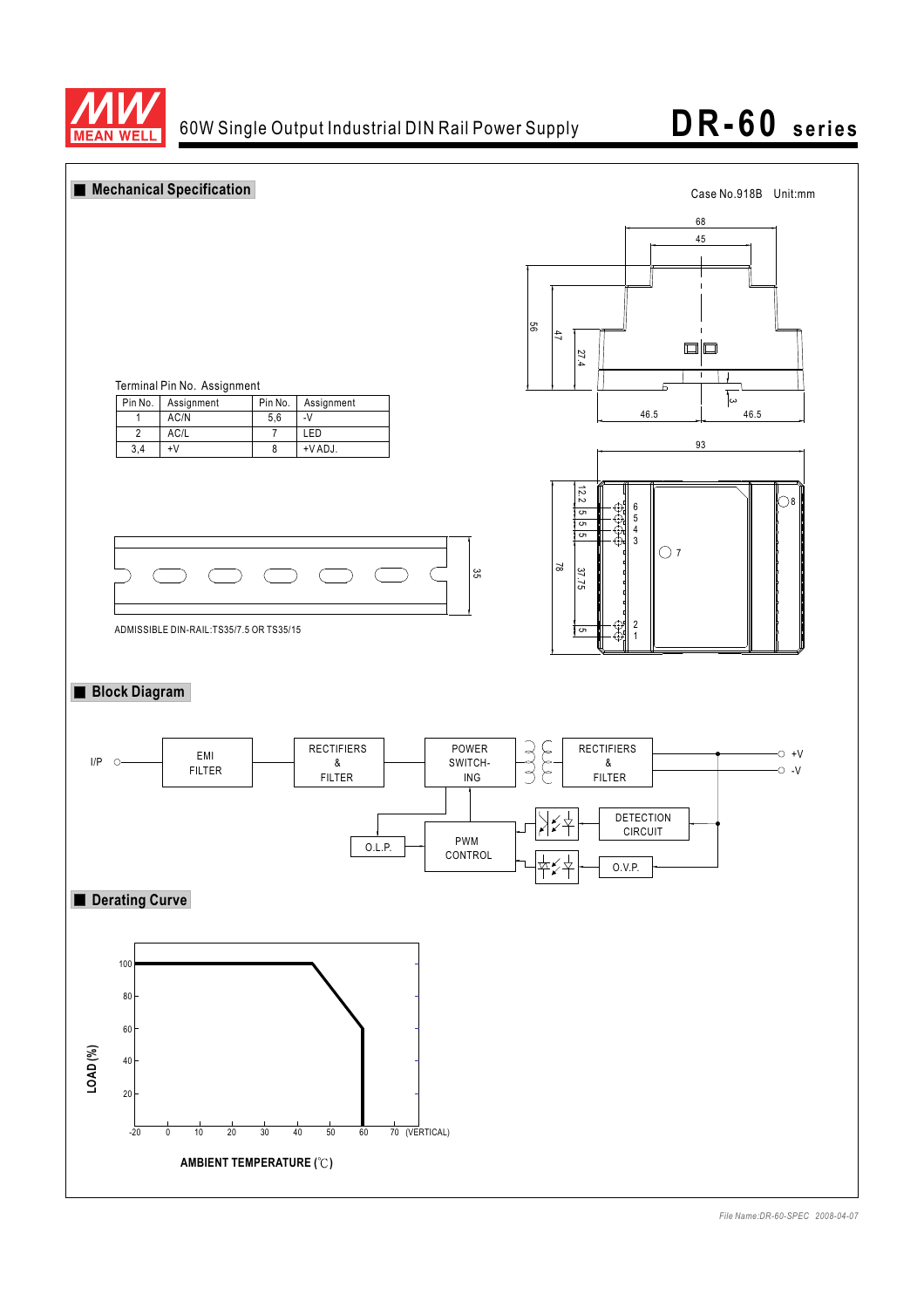